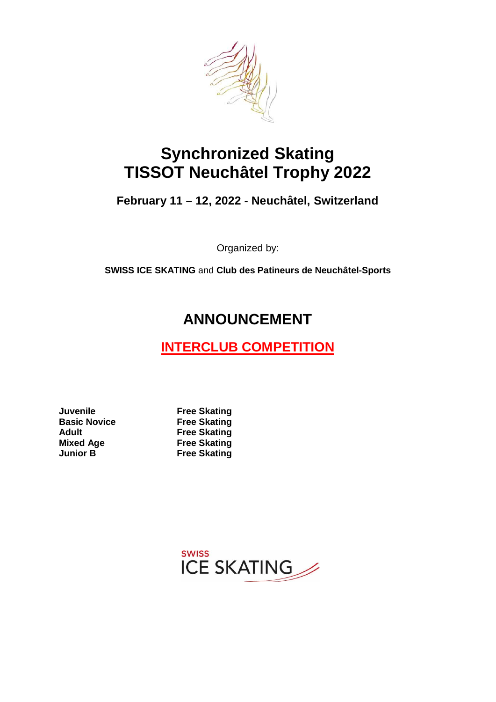

# **Synchronized Skating TISSOT Neuchâtel Trophy 2022**

**February 11 – 12, 2022 - Neuchâtel, Switzerland**

Organized by:

**SWISS ICE SKATING** and **Club des Patineurs de Neuchâtel-Sports**

# **ANNOUNCEMENT**

# **INTERCLUB COMPETITION**

**Juvenile Free Skating Basic Novice Free Skating Adult Free Skating Mixed Age Free Skating**<br> **Junior B Free Skating** 

**Free Skating** 

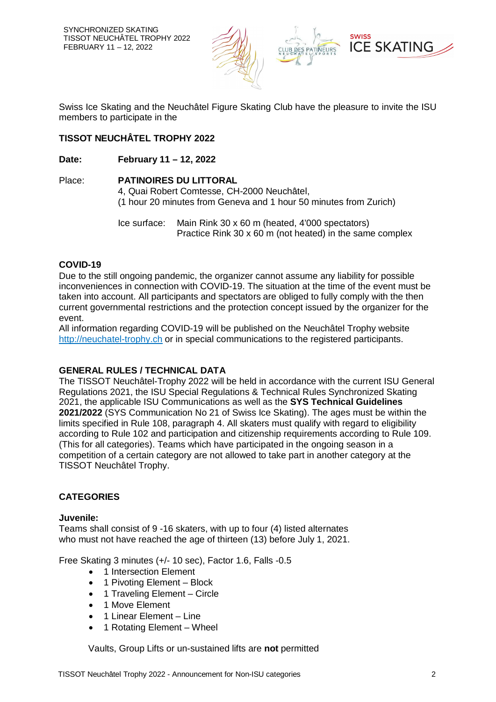

Swiss Ice Skating and the Neuchâtel Figure Skating Club have the pleasure to invite the ISU members to participate in the

## **TISSOT NEUCHÂTEL TROPHY 2022**

#### **Date: February 11 – 12, 2022**

# Place: **PATINOIRES DU LITTORAL**

4, Quai Robert Comtesse, CH-2000 Neuchâtel, (1 hour 20 minutes from Geneva and 1 hour 50 minutes from Zurich)

Ice surface: Main Rink 30 x 60 m (heated, 4'000 spectators) Practice Rink 30 x 60 m (not heated) in the same complex

#### **COVID-19**

Due to the still ongoing pandemic, the organizer cannot assume any liability for possible inconveniences in connection with COVID-19. The situation at the time of the event must be taken into account. All participants and spectators are obliged to fully comply with the then current governmental restrictions and the protection concept issued by the organizer for the event.

All information regarding COVID-19 will be published on the Neuchâtel Trophy website http://neuchatel-trophy.ch or in special communications to the registered participants.

#### **GENERAL RULES / TECHNICAL DATA**

The TISSOT Neuchâtel-Trophy 2022 will be held in accordance with the current ISU General Regulations 2021, the ISU Special Regulations & Technical Rules Synchronized Skating 2021, the applicable ISU Communications as well as the **SYS Technical Guidelines 2021/2022** (SYS Communication No 21 of Swiss Ice Skating). The ages must be within the limits specified in Rule 108, paragraph 4. All skaters must qualify with regard to eligibility according to Rule 102 and participation and citizenship requirements according to Rule 109. (This for all categories). Teams which have participated in the ongoing season in a competition of a certain category are not allowed to take part in another category at the TISSOT Neuchâtel Trophy.

#### **CATEGORIES**

#### **Juvenile:**

Teams shall consist of 9 -16 skaters, with up to four (4) listed alternates who must not have reached the age of thirteen (13) before July 1, 2021.

Free Skating 3 minutes (+/- 10 sec), Factor 1.6, Falls -0.5

- 1 Intersection Element
- 1 Pivoting Element Block
- 1 Traveling Element Circle
- 1 Move Element
- 1 Linear Element Line
- 1 Rotating Element Wheel

Vaults, Group Lifts or un-sustained lifts are **not** permitted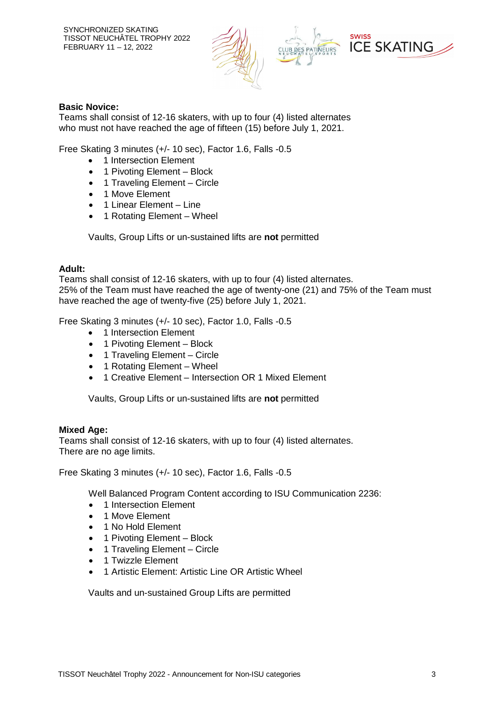

#### **Basic Novice:**

Teams shall consist of 12-16 skaters, with up to four (4) listed alternates who must not have reached the age of fifteen (15) before July 1, 2021.

Free Skating 3 minutes (+/- 10 sec), Factor 1.6, Falls -0.5

- 1 Intersection Element
- 1 Pivoting Element Block
- 1 Traveling Element Circle
- 1 Move Element
- 1 Linear Element Line
- 1 Rotating Element Wheel

Vaults, Group Lifts or un-sustained lifts are **not** permitted

#### **Adult:**

Teams shall consist of 12-16 skaters, with up to four (4) listed alternates. 25% of the Team must have reached the age of twenty-one (21) and 75% of the Team must have reached the age of twenty-five (25) before July 1, 2021.

Free Skating 3 minutes (+/- 10 sec), Factor 1.0, Falls -0.5

- 1 Intersection Element
- 1 Pivoting Element Block
- 1 Traveling Element Circle
- 1 Rotating Element Wheel
- 1 Creative Element Intersection OR 1 Mixed Element

Vaults, Group Lifts or un-sustained lifts are **not** permitted

#### **Mixed Age:**

Teams shall consist of 12-16 skaters, with up to four (4) listed alternates. There are no age limits.

Free Skating 3 minutes (+/- 10 sec), Factor 1.6, Falls -0.5

Well Balanced Program Content according to ISU Communication 2236:

- 1 Intersection Element
- **1 Move Flement**
- 1 No Hold Element
- 1 Pivoting Element Block
- 1 Traveling Element Circle
- 1 Twizzle Element
- 1 Artistic Element: Artistic Line OR Artistic Wheel

Vaults and un-sustained Group Lifts are permitted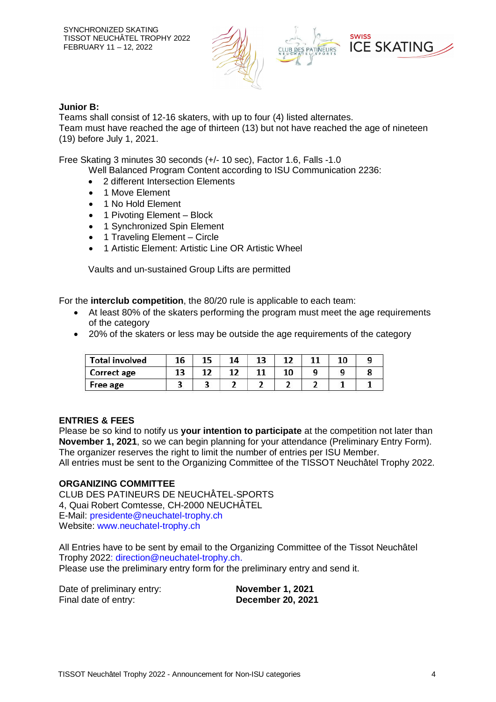

#### **Junior B:**

Teams shall consist of 12-16 skaters, with up to four (4) listed alternates. Team must have reached the age of thirteen (13) but not have reached the age of nineteen (19) before July 1, 2021.

Free Skating 3 minutes 30 seconds (+/- 10 sec), Factor 1.6, Falls -1.0

Well Balanced Program Content according to ISU Communication 2236:

- 2 different Intersection Elements
- 1 Move Element
- 1 No Hold Element
- 1 Pivoting Element Block
- 1 Synchronized Spin Element
- 1 Traveling Element Circle
- 1 Artistic Element: Artistic Line OR Artistic Wheel

Vaults and un-sustained Group Lifts are permitted

For the **interclub competition**, the 80/20 rule is applicable to each team:

- At least 80% of the skaters performing the program must meet the age requirements of the category
- 20% of the skaters or less may be outside the age requirements of the category

| <b>Total involved</b> | 16 |  | 13 |  | 10 |  |
|-----------------------|----|--|----|--|----|--|
| Correct age           | 13 |  |    |  |    |  |
| Free age              |    |  |    |  |    |  |

#### **ENTRIES & FEES**

Please be so kind to notify us **your intention to participate** at the competition not later than **November 1, 2021**, so we can begin planning for your attendance (Preliminary Entry Form). The organizer reserves the right to limit the number of entries per ISU Member. All entries must be sent to the Organizing Committee of the TISSOT Neuchâtel Trophy 2022.

#### **ORGANIZING COMMITTEE**

CLUB DES PATINEURS DE NEUCHÂTEL-SPORTS 4, Quai Robert Comtesse, CH-2000 NEUCHÂTEL E-Mail: presidente@neuchatel-trophy.ch Website: www.neuchatel-trophy.ch

All Entries have to be sent by email to the Organizing Committee of the Tissot Neuchâtel Trophy 2022: direction@neuchatel-trophy.ch. Please use the preliminary entry form for the preliminary entry and send it.

Date of preliminary entry: **November 1, 2021** Final date of entry: **December 20, 2021**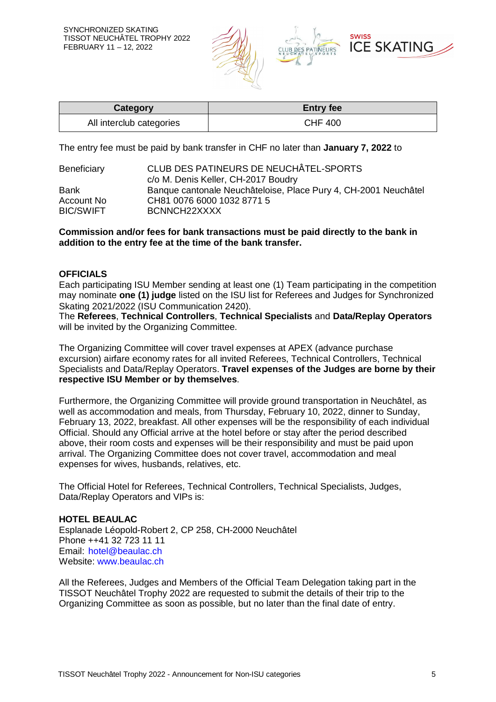

| <b>Category</b>          | <b>Entry fee</b> |
|--------------------------|------------------|
| All interclub categories | CHF 400          |

The entry fee must be paid by bank transfer in CHF no later than **January 7, 2022** to

| CLUB DES PATINEURS DE NEUCHÂTEL-SPORTS                          |  |  |
|-----------------------------------------------------------------|--|--|
| c/o M. Denis Keller, CH-2017 Boudry                             |  |  |
| Banque cantonale Neuchâteloise, Place Pury 4, CH-2001 Neuchâtel |  |  |
| CH81 0076 6000 1032 8771 5                                      |  |  |
| BCNNCH22XXXX                                                    |  |  |
|                                                                 |  |  |

#### **Commission and/or fees for bank transactions must be paid directly to the bank in addition to the entry fee at the time of the bank transfer.**

#### **OFFICIALS**

Each participating ISU Member sending at least one (1) Team participating in the competition may nominate **one (1) judge** listed on the ISU list for Referees and Judges for Synchronized Skating 2021/2022 (ISU Communication 2420).

The **Referees**, **Technical Controllers**, **Technical Specialists** and **Data/Replay Operators** will be invited by the Organizing Committee.

The Organizing Committee will cover travel expenses at APEX (advance purchase excursion) airfare economy rates for all invited Referees, Technical Controllers, Technical Specialists and Data/Replay Operators. **Travel expenses of the Judges are borne by their respective ISU Member or by themselves**.

Furthermore, the Organizing Committee will provide ground transportation in Neuchâtel, as well as accommodation and meals, from Thursday, February 10, 2022, dinner to Sunday, February 13, 2022, breakfast. All other expenses will be the responsibility of each individual Official. Should any Official arrive at the hotel before or stay after the period described above, their room costs and expenses will be their responsibility and must be paid upon arrival. The Organizing Committee does not cover travel, accommodation and meal expenses for wives, husbands, relatives, etc.

The Official Hotel for Referees, Technical Controllers, Technical Specialists, Judges, Data/Replay Operators and VIPs is:

#### **HOTEL BEAULAC**

Esplanade Léopold-Robert 2, CP 258, CH-2000 Neuchâtel Phone ++41 32 723 11 11 Email: hotel@beaulac.ch Website: www.beaulac.ch

All the Referees, Judges and Members of the Official Team Delegation taking part in the TISSOT Neuchâtel Trophy 2022 are requested to submit the details of their trip to the Organizing Committee as soon as possible, but no later than the final date of entry.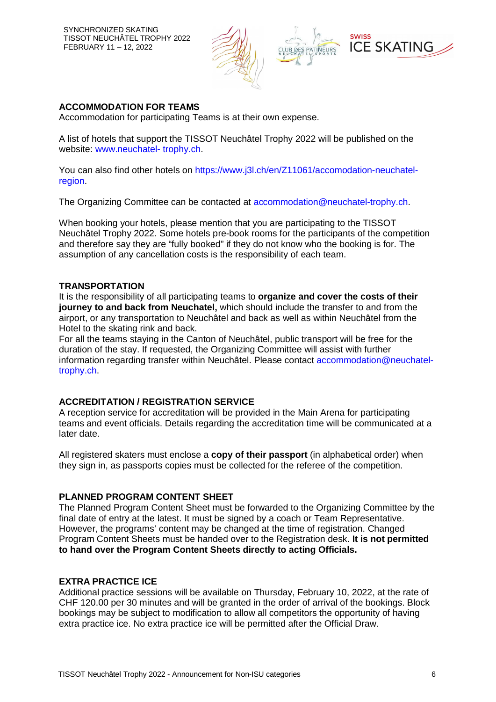

### **ACCOMMODATION FOR TEAMS**

Accommodation for participating Teams is at their own expense.

A list of hotels that support the TISSOT Neuchâtel Trophy 2022 will be published on the website: www.neuchatel- trophy.ch.

You can also find other hotels on https://www.j3l.ch/en/Z11061/accomodation-neuchatelregion.

The Organizing Committee can be contacted at accommodation@neuchatel-trophy.ch.

When booking your hotels, please mention that you are participating to the TISSOT Neuchâtel Trophy 2022. Some hotels pre-book rooms for the participants of the competition and therefore say they are "fully booked" if they do not know who the booking is for. The assumption of any cancellation costs is the responsibility of each team.

#### **TRANSPORTATION**

It is the responsibility of all participating teams to **organize and cover the costs of their journey to and back from Neuchatel,** which should include the transfer to and from the airport, or any transportation to Neuchâtel and back as well as within Neuchâtel from the Hotel to the skating rink and back.

For all the teams staying in the Canton of Neuchâtel, public transport will be free for the duration of the stay. If requested, the Organizing Committee will assist with further information regarding transfer within Neuchatel. Please contact accommodation@neuchateltrophy.ch.

#### **ACCREDITATION / REGISTRATION SERVICE**

A reception service for accreditation will be provided in the Main Arena for participating teams and event officials. Details regarding the accreditation time will be communicated at a later date.

All registered skaters must enclose a **copy of their passport** (in alphabetical order) when they sign in, as passports copies must be collected for the referee of the competition.

#### **PLANNED PROGRAM CONTENT SHEET**

The Planned Program Content Sheet must be forwarded to the Organizing Committee by the final date of entry at the latest. It must be signed by a coach or Team Representative. However, the programs' content may be changed at the time of registration. Changed Program Content Sheets must be handed over to the Registration desk. **It is not permitted to hand over the Program Content Sheets directly to acting Officials.**

#### **EXTRA PRACTICE ICE**

Additional practice sessions will be available on Thursday, February 10, 2022, at the rate of CHF 120.00 per 30 minutes and will be granted in the order of arrival of the bookings. Block bookings may be subject to modification to allow all competitors the opportunity of having extra practice ice. No extra practice ice will be permitted after the Official Draw.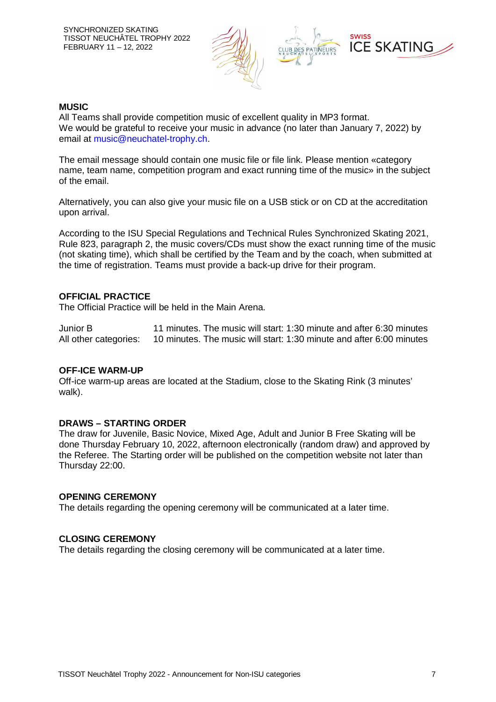

#### **MUSIC**

All Teams shall provide competition music of excellent quality in MP3 format. We would be grateful to receive your music in advance (no later than January 7, 2022) by email at music@neuchatel-trophy.ch.

The email message should contain one music file or file link. Please mention «category name, team name, competition program and exact running time of the music» in the subject of the email.

Alternatively, you can also give your music file on a USB stick or on CD at the accreditation upon arrival.

According to the ISU Special Regulations and Technical Rules Synchronized Skating 2021, Rule 823, paragraph 2, the music covers/CDs must show the exact running time of the music (not skating time), which shall be certified by the Team and by the coach, when submitted at the time of registration. Teams must provide a back-up drive for their program.

#### **OFFICIAL PRACTICE**

The Official Practice will be held in the Main Arena.

Junior B 11 minutes. The music will start: 1:30 minute and after 6:30 minutes All other categories: 10 minutes. The music will start: 1:30 minute and after 6:00 minutes

#### **OFF-ICE WARM-UP**

Off-ice warm-up areas are located at the Stadium, close to the Skating Rink (3 minutes' walk).

#### **DRAWS – STARTING ORDER**

The draw for Juvenile, Basic Novice, Mixed Age, Adult and Junior B Free Skating will be done Thursday February 10, 2022, afternoon electronically (random draw) and approved by the Referee. The Starting order will be published on the competition website not later than Thursday 22:00.

#### **OPENING CEREMONY**

The details regarding the opening ceremony will be communicated at a later time.

#### **CLOSING CEREMONY**

The details regarding the closing ceremony will be communicated at a later time.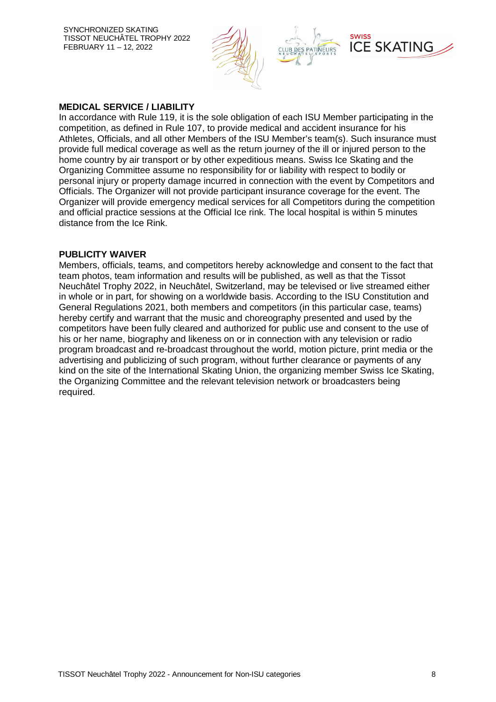SYNCHRONIZED SKATING TISSOT NEUCHÂTEL TROPHY 2022 FEBRUARY 11 – 12, 2022



#### **MEDICAL SERVICE / LIABILITY**

In accordance with Rule 119, it is the sole obligation of each ISU Member participating in the competition, as defined in Rule 107, to provide medical and accident insurance for his Athletes, Officials, and all other Members of the ISU Member's team(s). Such insurance must provide full medical coverage as well as the return journey of the ill or injured person to the home country by air transport or by other expeditious means. Swiss Ice Skating and the Organizing Committee assume no responsibility for or liability with respect to bodily or personal injury or property damage incurred in connection with the event by Competitors and Officials. The Organizer will not provide participant insurance coverage for the event. The Organizer will provide emergency medical services for all Competitors during the competition and official practice sessions at the Official Ice rink. The local hospital is within 5 minutes distance from the Ice Rink.

#### **PUBLICITY WAIVER**

Members, officials, teams, and competitors hereby acknowledge and consent to the fact that team photos, team information and results will be published, as well as that the Tissot Neuchâtel Trophy 2022, in Neuchâtel, Switzerland, may be televised or live streamed either in whole or in part, for showing on a worldwide basis. According to the ISU Constitution and General Regulations 2021, both members and competitors (in this particular case, teams) hereby certify and warrant that the music and choreography presented and used by the competitors have been fully cleared and authorized for public use and consent to the use of his or her name, biography and likeness on or in connection with any television or radio program broadcast and re-broadcast throughout the world, motion picture, print media or the advertising and publicizing of such program, without further clearance or payments of any kind on the site of the International Skating Union, the organizing member Swiss Ice Skating, the Organizing Committee and the relevant television network or broadcasters being required.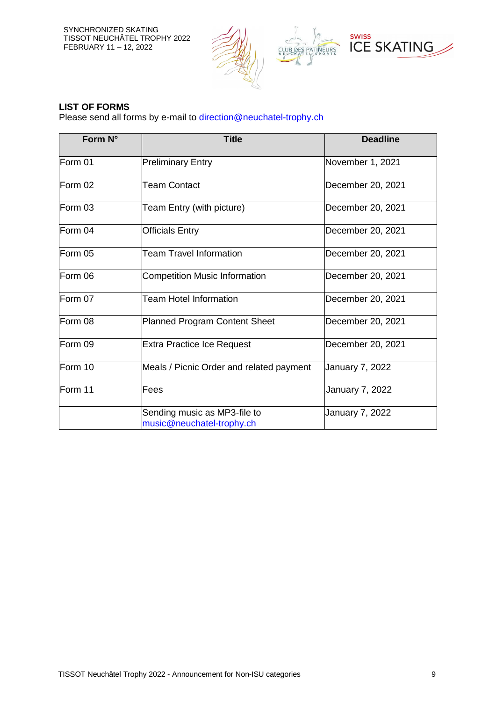SYNCHRONIZED SKATING TISSOT NEUCHÂTEL TROPHY 2022 FEBRUARY 11 – 12, 2022



## **LIST OF FORMS**

Please send all forms by e-mail to direction@neuchatel-trophy.ch

| Form N° | <b>Title</b>                                              | <b>Deadline</b>   |
|---------|-----------------------------------------------------------|-------------------|
| Form 01 | <b>Preliminary Entry</b>                                  | November 1, 2021  |
| Form 02 | <b>Team Contact</b>                                       | December 20, 2021 |
| Form 03 | Team Entry (with picture)                                 | December 20, 2021 |
| Form 04 | <b>Officials Entry</b>                                    | December 20, 2021 |
| Form 05 | <b>Team Travel Information</b>                            | December 20, 2021 |
| Form 06 | <b>Competition Music Information</b>                      | December 20, 2021 |
| Form 07 | <b>Team Hotel Information</b>                             | December 20, 2021 |
| Form 08 | Planned Program Content Sheet                             | December 20, 2021 |
| Form 09 | <b>Extra Practice Ice Request</b>                         | December 20, 2021 |
| Form 10 | Meals / Picnic Order and related payment                  | January 7, 2022   |
| Form 11 | Fees                                                      | January 7, 2022   |
|         | Sending music as MP3-file to<br>music@neuchatel-trophy.ch | January 7, 2022   |